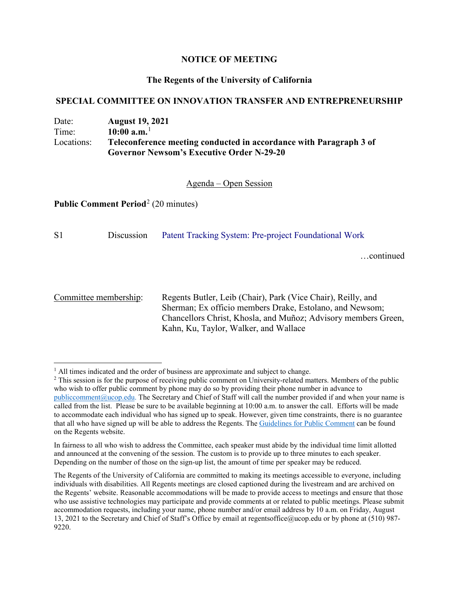## **NOTICE OF MEETING**

## **The Regents of the University of California**

#### **SPECIAL COMMITTEE ON INNOVATION TRANSFER AND ENTREPRENEURSHIP**

# Date: **August 19, 2021**  Time: **10:00 a.m.**[1](#page-0-0) Locations: **Teleconference meeting conducted in accordance with Paragraph 3 of Governor Newsom's Executive Order N-29-20**

## Agenda – Open Session

**Public Comment Period**<sup>[2](#page-0-1)</sup> (20 minutes)

S1 Discussion [Patent Tracking System: Pre-project Foundational Work](https://regents.universityofcalifornia.edu/regmeet/aug21/s1.pdf)

…continued

Committee membership: Regents Butler, Leib (Chair), Park (Vice Chair), Reilly, and Sherman; Ex officio members Drake, Estolano, and Newsom; Chancellors Christ, Khosla, and Muñoz; Advisory members Green, Kahn, Ku, Taylor, Walker, and Wallace

<span id="page-0-0"></span> $<sup>1</sup>$  All times indicated and the order of business are approximate and subject to change.</sup>

<span id="page-0-1"></span><sup>&</sup>lt;sup>2</sup> This session is for the purpose of receiving public comment on University-related matters. Members of the public who wish to offer public comment by phone may do so by providing their phone number in advance to [publiccomment@ucop.edu.](mailto:publiccomment@ucop.edu) The Secretary and Chief of Staff will call the number provided if and when your name is called from the list. Please be sure to be available beginning at 10:00 a.m. to answer the call. Efforts will be made to accommodate each individual who has signed up to speak. However, given time constraints, there is no guarantee that all who have signed up will be able to address the Regents. The [Guidelines for Public Comment](https://regents.universityofcalifornia.edu/regmeet/aug21/public_comment_aug.pdf) can be found on the Regents website.

In fairness to all who wish to address the Committee, each speaker must abide by the individual time limit allotted and announced at the convening of the session. The custom is to provide up to three minutes to each speaker. Depending on the number of those on the sign-up list, the amount of time per speaker may be reduced.

The Regents of the University of California are committed to making its meetings accessible to everyone, including individuals with disabilities. All Regents meetings are closed captioned during the livestream and are archived on the Regents' website. Reasonable accommodations will be made to provide access to meetings and ensure that those who use assistive technologies may participate and provide comments at or related to public meetings. Please submit accommodation requests, including your name, phone number and/or email address by 10 a.m. on Friday, August 13, 2021 to the Secretary and Chief of Staff's Office by email at regentsoffice@ucop.edu or by phone at (510) 987- 9220.